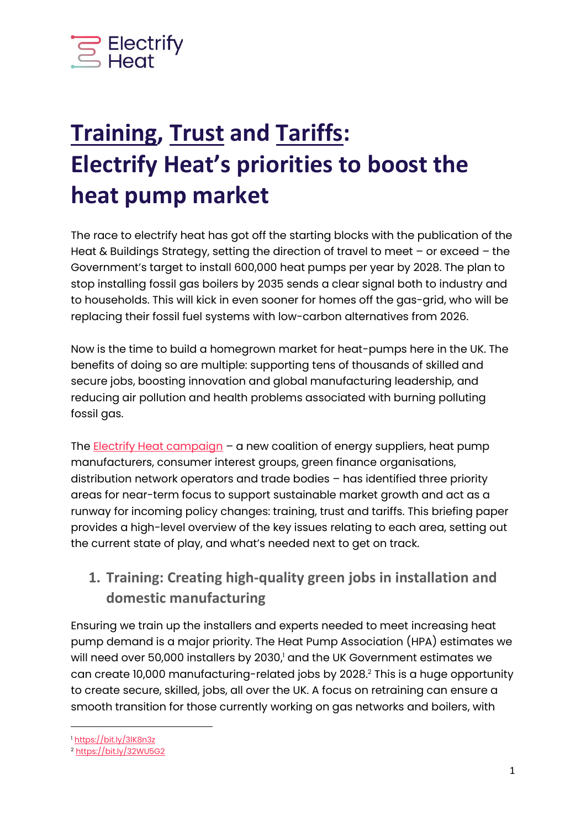

# **Training, Trust and Tariffs: Electrify Heat's priorities to boost the heat pump market**

The race to electrify heat has got off the starting blocks with the publication of the Heat & Buildings Strategy, setting the direction of travel to meet – or exceed – the Government's target to install 600,000 heat pumps per year by 2028. The plan to stop installing fossil gas boilers by 2035 sends a clear signal both to industry and to households. This will kick in even sooner for homes off the gas-grid, who will be replacing their fossil fuel systems with low-carbon alternatives from 2026.

Now is the time to build a homegrown market for heat-pumps here in the UK. The benefits of doing so are multiple: supporting tens of thousands of skilled and secure jobs, boosting innovation and global manufacturing leadership, and reducing air pollution and health problems associated with burning polluting fossil gas.

The **Electrify Heat campaign** – a new coalition of energy suppliers, heat pump manufacturers, consumer interest groups, green finance organisations, distribution network operators and trade bodies – has identified three priority areas for near-term focus to support sustainable market growth and act as a runway for incoming policy changes: training, trust and tariffs. This briefing paper provides a high-level overview of the key issues relating to each area, setting out the current state of play, and what's needed next to get on track.

#### **1. Training: Creating high-quality green jobs in installation and domestic manufacturing**

Ensuring we train up the installers and experts needed to meet increasing heat pump demand is a major priority. The Heat Pump Association (HPA) estimates we will need over 50,000 installers by 2030, <sup>1</sup> and the UK Government estimates we can create 10,000 manufacturing-related jobs by 2028. <sup>2</sup> This is a huge opportunity to create secure, skilled, jobs, all over the UK. A focus on retraining can ensure a smooth transition for those currently working on gas networks and boilers, with

<sup>1</sup> <https://bit.ly/3lK8n3z>

<sup>2</sup> <https://bit.ly/32WU5G2>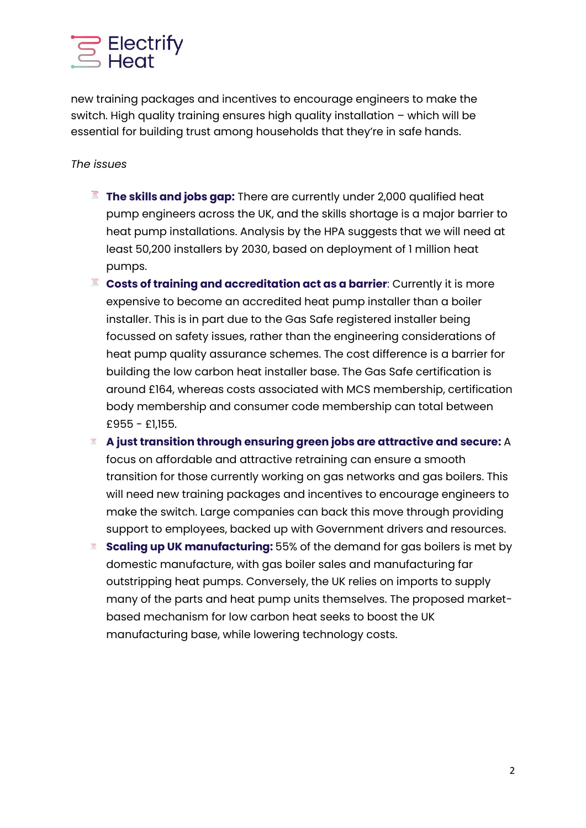

new training packages and incentives to encourage engineers to make the switch. High quality training ensures high quality installation – which will be essential for building trust among households that they're in safe hands.

*The issues*

- **The skills and jobs gap:** There are currently under 2,000 qualified heat pump engineers across the UK, and the skills shortage is a major barrier to heat pump installations. Analysis by the HPA suggests that we will need at least 50,200 installers by 2030, based on deployment of 1 million heat pumps.
- **Costs of training and accreditation act as a barrier**: Currently it is more expensive to become an accredited heat pump installer than a boiler installer. This is in part due to the Gas Safe registered installer being focussed on safety issues, rather than the engineering considerations of heat pump quality assurance schemes. The cost difference is a barrier for building the low carbon heat installer base. The Gas Safe certification is around £164, whereas costs associated with MCS membership, certification body membership and consumer code membership can total between £955 - £1,155.
- **A just transition through ensuring green jobs are attractive and secure:** A focus on affordable and attractive retraining can ensure a smooth transition for those currently working on gas networks and gas boilers. This will need new training packages and incentives to encourage engineers to make the switch. Large companies can back this move through providing support to employees, backed up with Government drivers and resources.
- **Scaling up UK manufacturing:** 55% of the demand for gas boilers is met by domestic manufacture, with gas boiler sales and manufacturing far outstripping heat pumps. Conversely, the UK relies on imports to supply many of the parts and heat pump units themselves. The proposed marketbased mechanism for low carbon heat seeks to boost the UK manufacturing base, while lowering technology costs.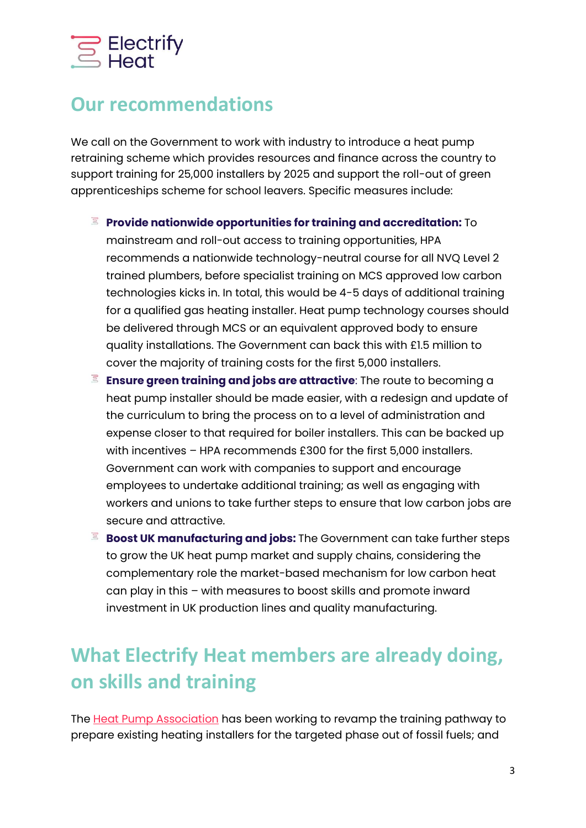# Electrify<br>Eleat

## **Our recommendations**

We call on the Government to work with industry to introduce a heat pump retraining scheme which provides resources and finance across the country to support training for 25,000 installers by 2025 and support the roll-out of green apprenticeships scheme for school leavers. Specific measures include:

- **Provide nationwide opportunities for training and accreditation:** To mainstream and roll-out access to training opportunities, HPA recommends a nationwide technology-neutral course for all NVQ Level 2 trained plumbers, before specialist training on MCS approved low carbon technologies kicks in. In total, this would be 4-5 days of additional training for a qualified gas heating installer. Heat pump technology courses should be delivered through MCS or an equivalent approved body to ensure quality installations. The Government can back this with £1.5 million to cover the majority of training costs for the first 5,000 installers.
- **Ensure green training and jobs are attractive**: The route to becoming a heat pump installer should be made easier, with a redesign and update of the curriculum to bring the process on to a level of administration and expense closer to that required for boiler installers. This can be backed up with incentives – HPA recommends £300 for the first 5,000 installers. Government can work with companies to support and encourage employees to undertake additional training; as well as engaging with workers and unions to take further steps to ensure that low carbon jobs are secure and attractive.
- $\Xi$ **Boost UK manufacturing and jobs:** The Government can take further steps to grow the UK heat pump market and supply chains, considering the complementary role the market-based mechanism for low carbon heat can play in this – with measures to boost skills and promote inward investment in UK production lines and quality manufacturing.

# **What Electrify Heat members are already doing, on skills and training**

The [Heat Pump Association](https://www.heatpumps.org.uk/training-heating-installers-for-the-rollout-of-heat-pumps/) has been working to revamp the training pathway to prepare existing heating installers for the targeted phase out of fossil fuels; and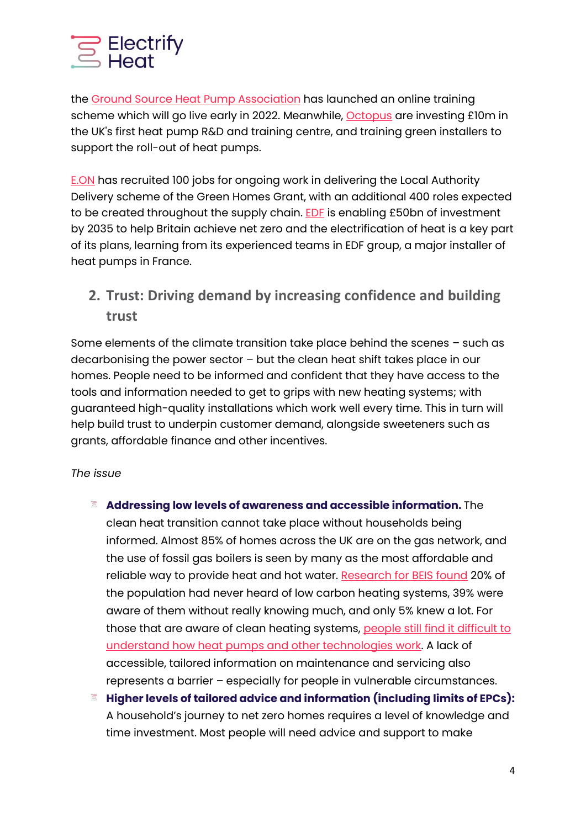

the [Ground Source Heat Pump Association](https://www.worldpumps.com/general-processing/news/gshpa-launches-training-scheme/) has launched an online training scheme which will go live early in 2022. Meanwhile, [Octopus](https://octopus.energy/blog/heat-pump-revolution/) are investing £10m in the UK's first heat pump R&D and training centre, and training green installers to support the roll-out of heat pumps.

[E.ON](https://www.eonenergy.com/About-eon/media-centre/eon-recruiting-for-100-new-roles-to-support-the-successful-local-authority-delivery-element-of-the-green-homes-grant-scheme/) has recruited 100 jobs for ongoing work in delivering the Local Authority Delivery scheme of the Green Homes Grant, with an additional 400 roles expected to be created throughout the supply chain. **EDF** is enabling £50bn of investment by 2035 to help Britain achieve net zero and the electrification of heat is a key part of its plans, learning from its experienced teams in EDF group, a major installer of heat pumps in France.

**2. Trust: Driving demand by increasing confidence and building trust** 

Some elements of the climate transition take place behind the scenes – such as decarbonising the power sector – but the clean heat shift takes place in our homes. People need to be informed and confident that they have access to the tools and information needed to get to grips with new heating systems; with guaranteed high-quality installations which work well every time. This in turn will help build trust to underpin customer demand, alongside sweeteners such as grants, affordable finance and other incentives.

#### *The issue*

- **Addressing low levels of awareness and accessible information.** The clean heat transition cannot take place without households being informed. Almost 85% of homes across the UK are on the gas network, and the use of fossil gas boilers is seen by many as the most affordable and reliable way to provide heat and hot water. [Research for BEIS found](https://assets.publishing.service.gov.uk/government/uploads/system/uploads/attachment_data/file/959601/BEIS_PAT_W36_-_Key_Findings.pdf) 20% of the population had never heard of low carbon heating systems, 39% were aware of them without really knowing much, and only 5% knew a lot. For those that are aware of clean heating systems, people still find it difficult to [understand how heat pumps and other technologies work.](https://www.citizensadvice.org.uk/Global/CitizensAdvice/Energy/Navigating%20net%20zero%20(2).pdf) A lack of accessible, tailored information on maintenance and servicing also represents a barrier – especially for people in vulnerable circumstances.
- $\Xi$ **Higher levels of tailored advice and information (including limits of EPCs):**  A household's journey to net zero homes requires a level of knowledge and time investment. Most people will need advice and support to make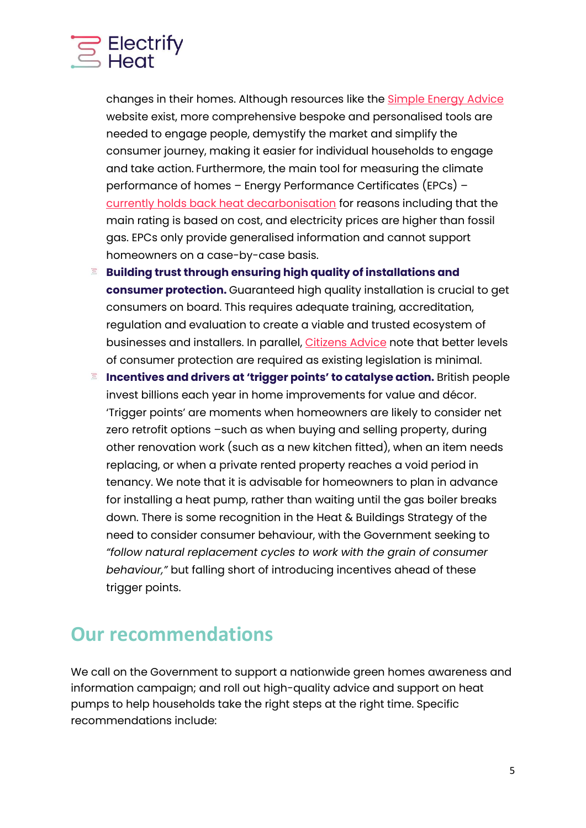

changes in their homes. Although resources like the [Simple Energy Advice](https://www.simpleenergyadvice.org.uk/) website exist, more comprehensive bespoke and personalised tools are needed to engage people, demystify the market and simplify the consumer journey, making it easier for individual households to engage and take action. Furthermore, the main tool for measuring the climate performance of homes – Energy Performance Certificates (EPCs) – [currently holds back heat decarbonisation](https://foresightdk.com/energy-performance-certificates-hold-back-heat-decarbonisation/) for reasons including that the main rating is based on cost, and electricity prices are higher than fossil gas. EPCs only provide generalised information and cannot support homeowners on a case-by-case basis.

- $\Xi$ **Building trust through ensuring high quality of installations and consumer protection.** Guaranteed high quality installation is crucial to get consumers on board. This requires adequate training, accreditation, regulation and evaluation to create a viable and trusted ecosystem of businesses and installers. In parallel, [Citizens Advice](https://www.citizensadvice.org.uk/Global/CitizensAdvice/Energy/Demanding%20attention%20-%20Managing%20risks%20with%20demand-side%20response,%20to%20improve%20consumer%20experience%20tomorrow.pdf) note that better levels of consumer protection are required as existing legislation is minimal.
- **Incentives and drivers at 'trigger points' to catalyse action.** British people  $\Xi$ invest billions each year in home improvements for value and décor. 'Trigger points' are moments when homeowners are likely to consider net zero retrofit options –such as when buying and selling property, during other renovation work (such as a new kitchen fitted), when an item needs replacing, or when a private rented property reaches a void period in tenancy. We note that it is advisable for homeowners to plan in advance for installing a heat pump, rather than waiting until the gas boiler breaks down. There is some recognition in the Heat & Buildings Strategy of the need to consider consumer behaviour, with the Government seeking to *"follow natural replacement cycles to work with the grain of consumer behaviour,"* but falling short of introducing incentives ahead of these trigger points.

#### **Our recommendations**

We call on the Government to support a nationwide green homes awareness and information campaign; and roll out high-quality advice and support on heat pumps to help households take the right steps at the right time. Specific recommendations include: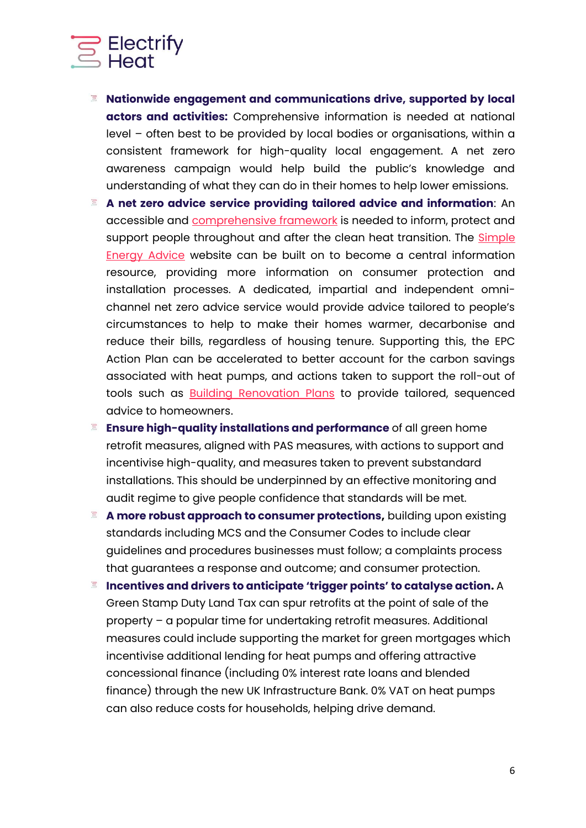

- **Nationwide engagement and communications drive, supported by local actors and activities:** Comprehensive information is needed at national level – often best to be provided by local bodies or organisations, within a consistent framework for high-quality local engagement. A net zero awareness campaign would help build the public's knowledge and understanding of what they can do in their homes to help lower emissions.
- **A net zero advice service providing tailored advice and information**: An accessible and [comprehensive framework](https://www.citizensadvice.org.uk/Global/CitizensAdvice/Energy/Navigating%20net%20zero%20(2).pdf) is needed to inform, protect and support people throughout and after the clean heat transition. The **Simple** [Energy Advice](https://www.simpleenergyadvice.org.uk/) website can be built on to become a central information resource, providing more information on consumer protection and installation processes. A dedicated, impartial and independent omnichannel net zero advice service would provide advice tailored to people's circumstances to help to make their homes warmer, decarbonise and reduce their bills, regardless of housing tenure. Supporting this, the EPC Action Plan can be accelerated to better account for the carbon savings associated with heat pumps, and actions taken to support the roll-out of tools such as [Building Renovation Plans](https://www.greenfinanceinstitute.co.uk/green-finance-institute-launches-uk-framework-for-building-renovation-plans/) to provide tailored, sequenced advice to homeowners.
- **Ensure high-quality installations and performance** of all green home retrofit measures, aligned with PAS measures, with actions to support and incentivise high-quality, and measures taken to prevent substandard installations. This should be underpinned by an effective monitoring and audit regime to give people confidence that standards will be met.
- $\Xi$ **A more robust approach to consumer protections,** building upon existing standards including MCS and the Consumer Codes to include clear guidelines and procedures businesses must follow; a complaints process that guarantees a response and outcome; and consumer protection.
- **Incentives and drivers to anticipate 'trigger points' to catalyse action.** A  $\Xi$ Green Stamp Duty Land Tax can spur retrofits at the point of sale of the property – a popular time for undertaking retrofit measures. Additional measures could include supporting the market for green mortgages which incentivise additional lending for heat pumps and offering attractive concessional finance (including 0% interest rate loans and blended finance) through the new UK Infrastructure Bank. 0% VAT on heat pumps can also reduce costs for households, helping drive demand.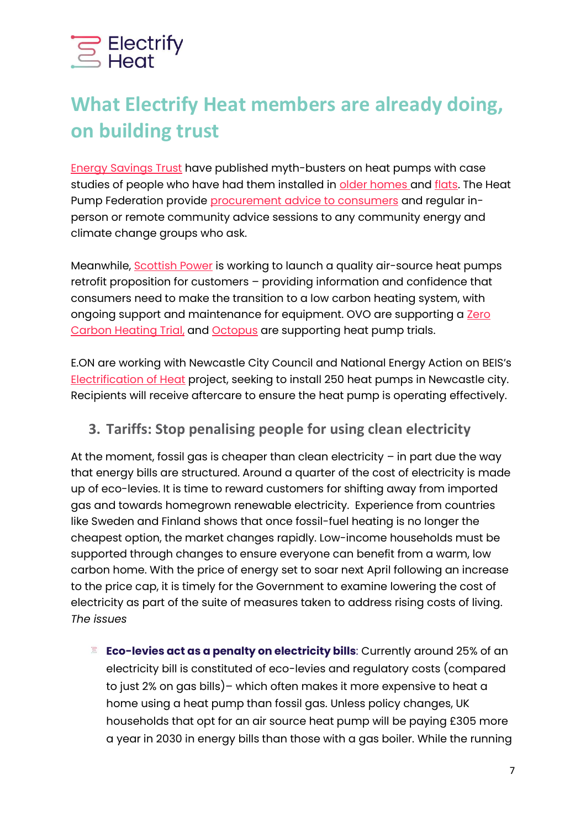

# **What Electrify Heat members are already doing, on building trust**

[Energy Savings Trust](https://energysavingtrust.org.uk/setting-the-record-straight-on-heat-pumps/) have published myth-busters on heat pumps with case studies of people who have had them installed in [older homes a](https://energysavingtrust.org.uk/case-study/gwilyms-ground-source-heat-pump/)nd [flats.](https://energysavingtrust.org.uk/case-study/joanna-oloan-upgrading-storage-heaters-with-an-air-source-heat-pump/) The Heat Pump Federation provide [procurement advice to consumers](https://www.hpf.org.uk/advice/homeowners) and regular inperson or remote community advice sessions to any community energy and climate change groups who ask.

Meanwhile, [Scottish Power](https://www.scottishpower.co.uk/air-source-heat-pumps) is working to launch a quality air-source heat pumps retrofit proposition for customers – providing information and confidence that consumers need to make the transition to a low carbon heating system, with ongoing support and maintenance for equipment. OVO are supporting a Zero [Carbon Heating Trial,](https://www.ovoenergy.com/smart-home/zero-carbon-heating-trial) and **Octopus** are supporting heat pump trials.

E.ON are working with Newcastle City Council and National Energy Action on BEIS's [Electrification of Heat](https://www.eonenergy.com/About-eon/media-centre/eon-to-upgrade-homes-to-low-carbon-heating-together-with-beis-and-newcastle-city-council/) project, seeking to install 250 heat pumps in Newcastle city. Recipients will receive aftercare to ensure the heat pump is operating effectively.

#### **3. Tariffs: Stop penalising people for using clean electricity**

At the moment, fossil gas is cheaper than clean electricity  $-$  in part due the way that energy bills are structured. Around a quarter of the cost of electricity is made up of eco-levies. It is time to reward customers for shifting away from imported gas and towards homegrown renewable electricity. Experience from countries like Sweden and Finland shows that once fossil-fuel heating is no longer the cheapest option, the market changes rapidly. Low-income households must be supported through changes to ensure everyone can benefit from a warm, low carbon home. With the price of energy set to soar next April following an increase to the price cap, it is timely for the Government to examine lowering the cost of electricity as part of the suite of measures taken to address rising costs of living. *The issues*

**Eco-levies act as a penalty on electricity bills**: Currently around 25% of an  $\Xi$ electricity bill is constituted of eco-levies and regulatory costs (compared to just 2% on gas bills)– which often makes it more expensive to heat a home using a heat pump than fossil gas. Unless policy changes, UK households that opt for an air source heat pump will be paying £305 more a year in 2030 in energy bills than those with a gas boiler. While the running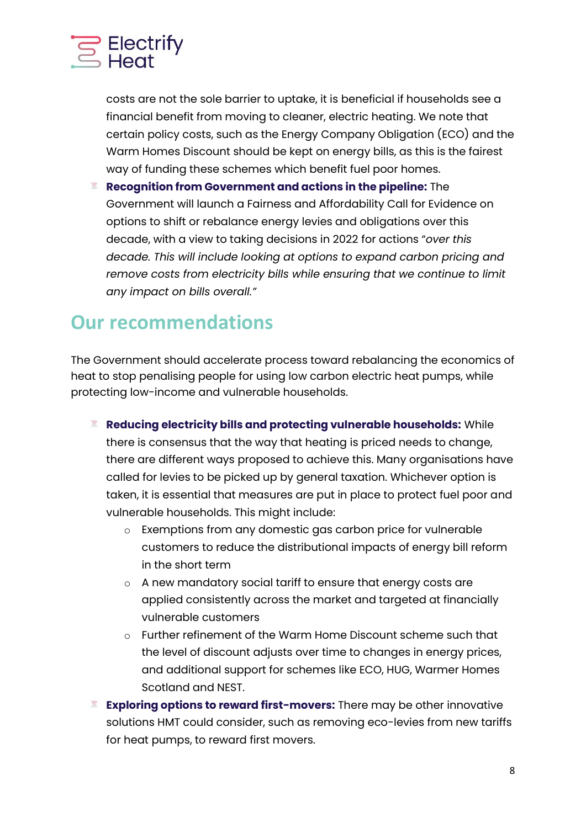

costs are not the sole barrier to uptake, it is beneficial if households see a financial benefit from moving to cleaner, electric heating. We note that certain policy costs, such as the Energy Company Obligation (ECO) and the Warm Homes Discount should be kept on energy bills, as this is the fairest way of funding these schemes which benefit fuel poor homes.

 $\Xi$ **Recognition from Government and actions in the pipeline:** The Government will launch a Fairness and Affordability Call for Evidence on options to shift or rebalance energy levies and obligations over this decade, with a view to taking decisions in 2022 for actions "*over this decade. This will include looking at options to expand carbon pricing and remove costs from electricity bills while ensuring that we continue to limit any impact on bills overall."*

## **Our recommendations**

The Government should accelerate process toward rebalancing the economics of heat to stop penalising people for using low carbon electric heat pumps, while protecting low-income and vulnerable households.

- **Reducing electricity bills and protecting vulnerable households:** While there is consensus that the way that heating is priced needs to change, there are different ways proposed to achieve this. Many organisations have called for levies to be picked up by general taxation. Whichever option is taken, it is essential that measures are put in place to protect fuel poor and vulnerable households. This might include:
	- o Exemptions from any domestic gas carbon price for vulnerable customers to reduce the distributional impacts of energy bill reform in the short term
	- o A new mandatory social tariff to ensure that energy costs are applied consistently across the market and targeted at financially vulnerable customers
	- o Further refinement of the Warm Home Discount scheme such that the level of discount adjusts over time to changes in energy prices, and additional support for schemes like ECO, HUG, Warmer Homes Scotland and NEST.
- **Exploring options to reward first-movers:** There may be other innovative solutions HMT could consider, such as removing eco-levies from new tariffs for heat pumps, to reward first movers.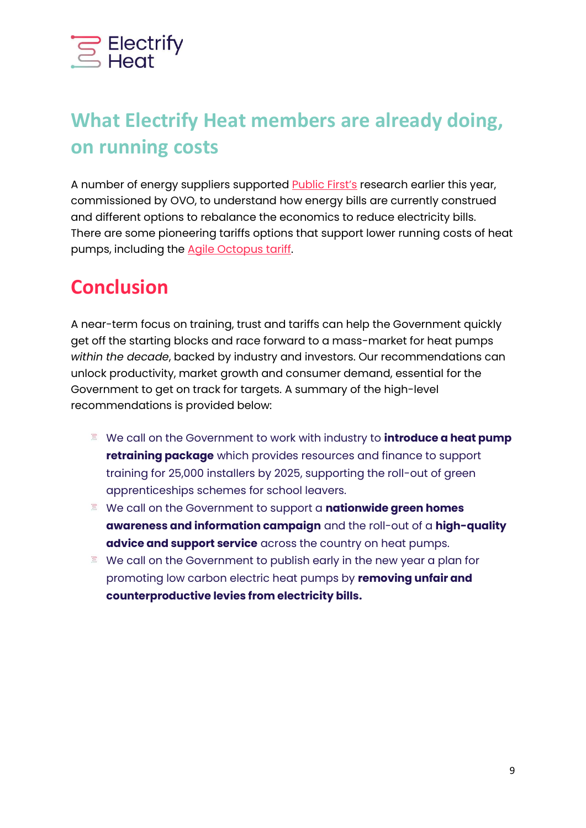

# **What Electrify Heat members are already doing, on running costs**

A number of energy suppliers supported [Public First's](http://www.publicfirst.co.uk/wp-content/uploads/2021/04/OptionsEnergyBillMaster.pdf) research earlier this year, commissioned by OVO, to understand how energy bills are currently construed and different options to rebalance the economics to reduce electricity bills. There are some pioneering tariffs options that support lower running costs of heat pumps, including the [Agile Octopus tariff.](https://octopus.energy/agile/)

## **Conclusion**

A near-term focus on training, trust and tariffs can help the Government quickly get off the starting blocks and race forward to a mass-market for heat pumps *within the decade*, backed by industry and investors. Our recommendations can unlock productivity, market growth and consumer demand, essential for the Government to get on track for targets. A summary of the high-level recommendations is provided below:

- We call on the Government to work with industry to **introduce a heat pump retraining package** which provides resources and finance to support training for 25,000 installers by 2025, supporting the roll-out of green apprenticeships schemes for school leavers.
- We call on the Government to support a **nationwide green homes awareness and information campaign** and the roll-out of a **high-quality advice and support service** across the country on heat pumps.
- We call on the Government to publish early in the new year a plan for promoting low carbon electric heat pumps by **removing unfair and counterproductive levies from electricity bills.**